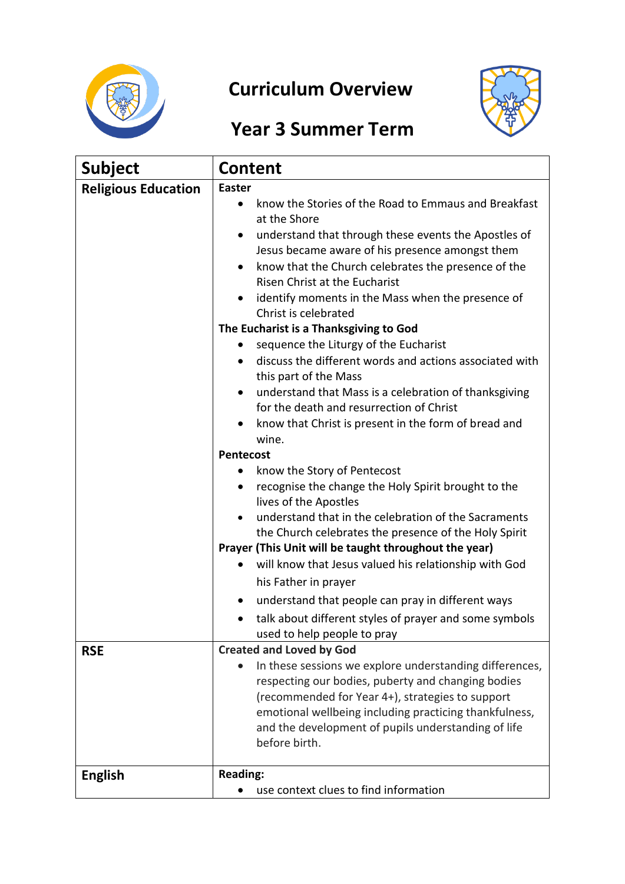

## **Curriculum Overview**



## **Year 3 Summer Term**

| <b>Subject</b>                           | <b>Content</b>                                                                                                                                                                                                                                                                                                                                                                                                                                                                                                                                                                                                                                                                                                                                                                                                                                                                                                                                                                                                                                                                                                                                                                                                                                                                                                                                                      |
|------------------------------------------|---------------------------------------------------------------------------------------------------------------------------------------------------------------------------------------------------------------------------------------------------------------------------------------------------------------------------------------------------------------------------------------------------------------------------------------------------------------------------------------------------------------------------------------------------------------------------------------------------------------------------------------------------------------------------------------------------------------------------------------------------------------------------------------------------------------------------------------------------------------------------------------------------------------------------------------------------------------------------------------------------------------------------------------------------------------------------------------------------------------------------------------------------------------------------------------------------------------------------------------------------------------------------------------------------------------------------------------------------------------------|
| <b>Religious Education</b><br><b>RSE</b> | <b>Easter</b><br>know the Stories of the Road to Emmaus and Breakfast<br>at the Shore<br>understand that through these events the Apostles of<br>Jesus became aware of his presence amongst them<br>know that the Church celebrates the presence of the<br><b>Risen Christ at the Eucharist</b><br>identify moments in the Mass when the presence of<br>Christ is celebrated<br>The Eucharist is a Thanksgiving to God<br>sequence the Liturgy of the Eucharist<br>discuss the different words and actions associated with<br>this part of the Mass<br>understand that Mass is a celebration of thanksgiving<br>for the death and resurrection of Christ<br>know that Christ is present in the form of bread and<br>wine.<br><b>Pentecost</b><br>know the Story of Pentecost<br>recognise the change the Holy Spirit brought to the<br>lives of the Apostles<br>understand that in the celebration of the Sacraments<br>the Church celebrates the presence of the Holy Spirit<br>Prayer (This Unit will be taught throughout the year)<br>will know that Jesus valued his relationship with God<br>his Father in prayer<br>understand that people can pray in different ways<br>talk about different styles of prayer and some symbols<br>used to help people to pray<br><b>Created and Loved by God</b><br>In these sessions we explore understanding differences, |
|                                          | respecting our bodies, puberty and changing bodies<br>(recommended for Year 4+), strategies to support<br>emotional wellbeing including practicing thankfulness,<br>and the development of pupils understanding of life<br>before birth.                                                                                                                                                                                                                                                                                                                                                                                                                                                                                                                                                                                                                                                                                                                                                                                                                                                                                                                                                                                                                                                                                                                            |
| <b>English</b>                           | <b>Reading:</b><br>use context clues to find information                                                                                                                                                                                                                                                                                                                                                                                                                                                                                                                                                                                                                                                                                                                                                                                                                                                                                                                                                                                                                                                                                                                                                                                                                                                                                                            |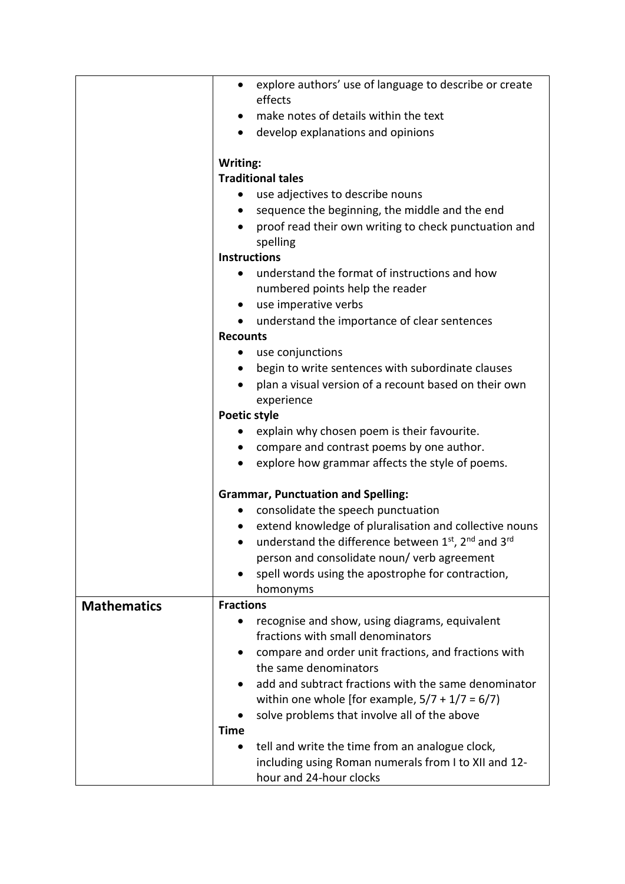|                    | explore authors' use of language to describe or create<br>$\bullet$                          |  |  |
|--------------------|----------------------------------------------------------------------------------------------|--|--|
|                    | effects                                                                                      |  |  |
|                    | make notes of details within the text                                                        |  |  |
|                    | develop explanations and opinions<br>$\bullet$                                               |  |  |
|                    | Writing:                                                                                     |  |  |
|                    | <b>Traditional tales</b>                                                                     |  |  |
|                    | use adjectives to describe nouns<br>$\bullet$                                                |  |  |
|                    | sequence the beginning, the middle and the end<br>٠                                          |  |  |
|                    | proof read their own writing to check punctuation and<br>$\bullet$                           |  |  |
|                    | spelling                                                                                     |  |  |
|                    | <b>Instructions</b>                                                                          |  |  |
|                    | understand the format of instructions and how<br>$\bullet$                                   |  |  |
|                    | numbered points help the reader                                                              |  |  |
|                    | use imperative verbs                                                                         |  |  |
|                    | understand the importance of clear sentences<br>$\bullet$                                    |  |  |
|                    | <b>Recounts</b>                                                                              |  |  |
|                    | use conjunctions<br>$\bullet$                                                                |  |  |
|                    | begin to write sentences with subordinate clauses                                            |  |  |
|                    | plan a visual version of a recount based on their own<br>$\bullet$                           |  |  |
|                    | experience                                                                                   |  |  |
|                    | <b>Poetic style</b>                                                                          |  |  |
|                    | explain why chosen poem is their favourite.                                                  |  |  |
|                    | compare and contrast poems by one author.<br>$\bullet$                                       |  |  |
|                    | explore how grammar affects the style of poems.                                              |  |  |
|                    |                                                                                              |  |  |
|                    | <b>Grammar, Punctuation and Spelling:</b><br>consolidate the speech punctuation<br>$\bullet$ |  |  |
|                    | extend knowledge of pluralisation and collective nouns                                       |  |  |
|                    | understand the difference between 1 <sup>st</sup> , 2 <sup>nd</sup> and 3 <sup>rd</sup>      |  |  |
|                    | person and consolidate noun/ verb agreement                                                  |  |  |
|                    | spell words using the apostrophe for contraction,                                            |  |  |
|                    | homonyms                                                                                     |  |  |
| <b>Mathematics</b> | <b>Fractions</b>                                                                             |  |  |
|                    | recognise and show, using diagrams, equivalent                                               |  |  |
|                    | fractions with small denominators                                                            |  |  |
|                    | compare and order unit fractions, and fractions with                                         |  |  |
|                    | the same denominators                                                                        |  |  |
|                    | add and subtract fractions with the same denominator                                         |  |  |
|                    | within one whole [for example, $5/7 + 1/7 = 6/7$ ]                                           |  |  |
|                    | solve problems that involve all of the above                                                 |  |  |
|                    | <b>Time</b>                                                                                  |  |  |
|                    | tell and write the time from an analogue clock,                                              |  |  |
|                    | including using Roman numerals from I to XII and 12-                                         |  |  |
|                    | hour and 24-hour clocks                                                                      |  |  |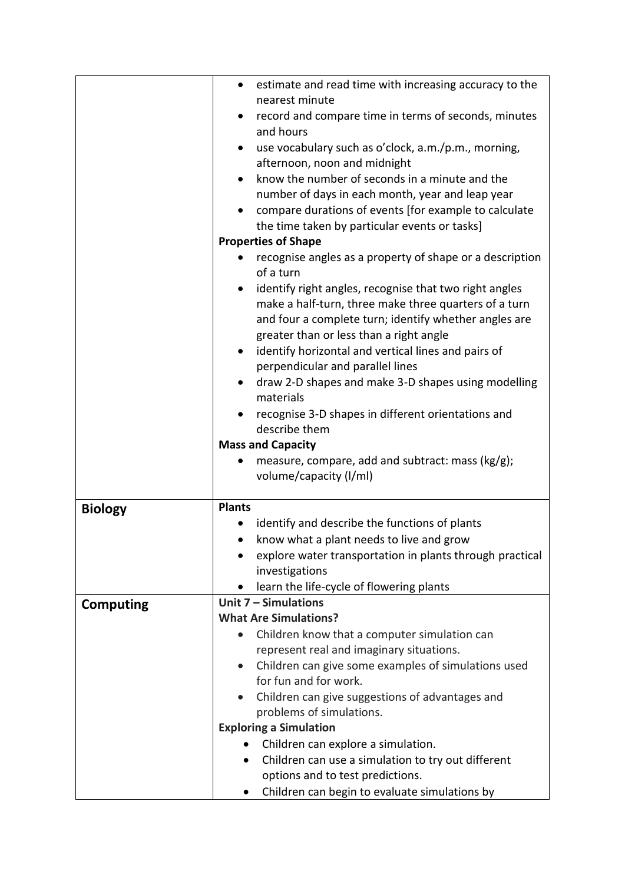|                  | estimate and read time with increasing accuracy to the<br>$\bullet$                    |  |  |
|------------------|----------------------------------------------------------------------------------------|--|--|
|                  | nearest minute                                                                         |  |  |
|                  | record and compare time in terms of seconds, minutes<br>٠                              |  |  |
|                  | and hours                                                                              |  |  |
|                  | use vocabulary such as o'clock, a.m./p.m., morning,<br>$\bullet$                       |  |  |
|                  | afternoon, noon and midnight                                                           |  |  |
|                  | know the number of seconds in a minute and the<br>$\bullet$                            |  |  |
|                  | number of days in each month, year and leap year                                       |  |  |
|                  | compare durations of events [for example to calculate                                  |  |  |
|                  | the time taken by particular events or tasks]                                          |  |  |
|                  | <b>Properties of Shape</b>                                                             |  |  |
|                  | recognise angles as a property of shape or a description<br>of a turn                  |  |  |
|                  | identify right angles, recognise that two right angles                                 |  |  |
|                  | make a half-turn, three make three quarters of a turn                                  |  |  |
|                  | and four a complete turn; identify whether angles are                                  |  |  |
|                  | greater than or less than a right angle                                                |  |  |
|                  | identify horizontal and vertical lines and pairs of<br>٠                               |  |  |
|                  | perpendicular and parallel lines                                                       |  |  |
|                  | draw 2-D shapes and make 3-D shapes using modelling<br>materials                       |  |  |
|                  | recognise 3-D shapes in different orientations and                                     |  |  |
|                  | describe them                                                                          |  |  |
|                  | <b>Mass and Capacity</b>                                                               |  |  |
|                  | measure, compare, add and subtract: mass (kg/g);<br>٠                                  |  |  |
|                  | volume/capacity (I/ml)                                                                 |  |  |
|                  | <b>Plants</b>                                                                          |  |  |
| <b>Biology</b>   | identify and describe the functions of plants                                          |  |  |
|                  | know what a plant needs to live and grow                                               |  |  |
|                  | explore water transportation in plants through practical<br>٠                          |  |  |
|                  | investigations                                                                         |  |  |
|                  | learn the life-cycle of flowering plants                                               |  |  |
| <b>Computing</b> | Unit $7 -$ Simulations                                                                 |  |  |
|                  | <b>What Are Simulations?</b>                                                           |  |  |
|                  | Children know that a computer simulation can                                           |  |  |
|                  | represent real and imaginary situations.                                               |  |  |
|                  | Children can give some examples of simulations used                                    |  |  |
|                  | for fun and for work.                                                                  |  |  |
|                  |                                                                                        |  |  |
|                  |                                                                                        |  |  |
|                  | Children can give suggestions of advantages and<br>problems of simulations.            |  |  |
|                  |                                                                                        |  |  |
|                  | <b>Exploring a Simulation</b>                                                          |  |  |
|                  | Children can explore a simulation.<br>$\bullet$                                        |  |  |
|                  | Children can use a simulation to try out different<br>options and to test predictions. |  |  |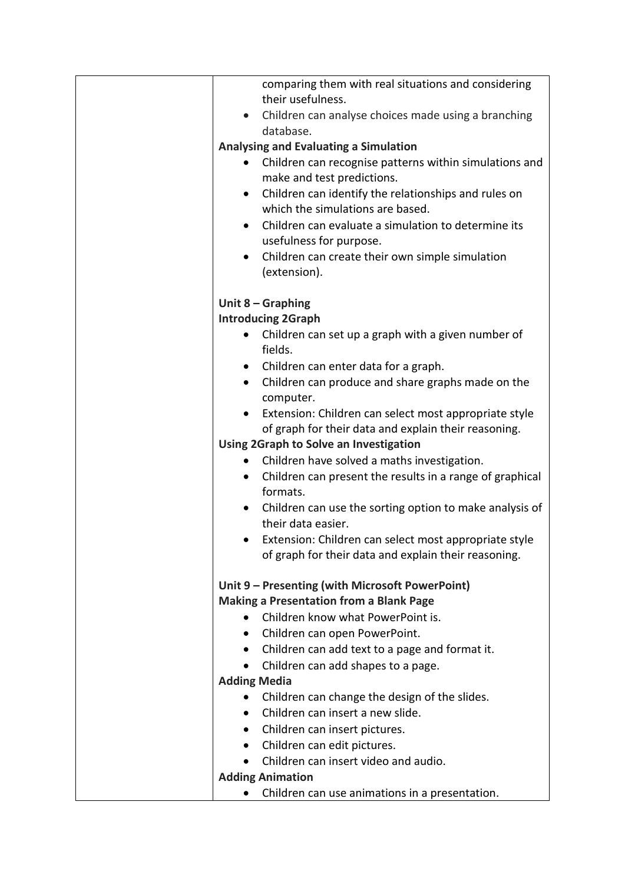| comparing them with real situations and considering<br>their usefulness.          |
|-----------------------------------------------------------------------------------|
| • Children can analyse choices made using a branching                             |
| database.                                                                         |
| Analysing and Evaluating a Simulation                                             |
| Children can recognise patterns within simulations and<br>$\bullet$               |
| make and test predictions.                                                        |
| Children can identify the relationships and rules on<br>$\bullet$                 |
| which the simulations are based.                                                  |
| Children can evaluate a simulation to determine its<br>$\bullet$                  |
| usefulness for purpose.                                                           |
| Children can create their own simple simulation<br>$\bullet$                      |
| (extension).                                                                      |
| Unit $8 -$ Graphing                                                               |
| <b>Introducing 2Graph</b>                                                         |
| Children can set up a graph with a given number of<br>$\bullet$                   |
| fields.                                                                           |
| • Children can enter data for a graph.                                            |
| Children can produce and share graphs made on the<br>$\bullet$                    |
| computer.                                                                         |
| • Extension: Children can select most appropriate style                           |
| of graph for their data and explain their reasoning.                              |
| Using 2Graph to Solve an Investigation                                            |
| Children have solved a maths investigation.<br>$\bullet$                          |
| Children can present the results in a range of graphical<br>$\bullet$<br>formats. |
| Children can use the sorting option to make analysis of<br>their data easier.     |
| Extension: Children can select most appropriate style                             |
| of graph for their data and explain their reasoning.                              |
|                                                                                   |
| Unit 9 - Presenting (with Microsoft PowerPoint)                                   |
| <b>Making a Presentation from a Blank Page</b>                                    |
| Children know what PowerPoint is.                                                 |
| Children can open PowerPoint.<br>$\bullet$                                        |
| Children can add text to a page and format it.<br>$\bullet$                       |
| Children can add shapes to a page.                                                |
| <b>Adding Media</b>                                                               |
| Children can change the design of the slides.<br>Children can insert a new slide. |
|                                                                                   |
| Children can insert pictures.<br>Children can edit pictures.                      |
| $\bullet$<br>Children can insert video and audio.                                 |
| <b>Adding Animation</b>                                                           |
| Children can use animations in a presentation.                                    |
|                                                                                   |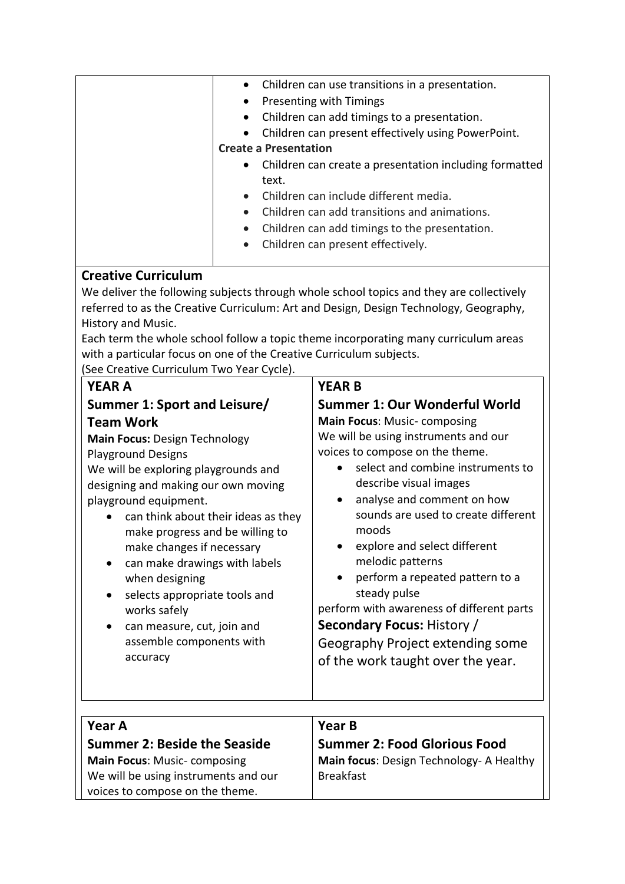| Children can use transitions in a presentation.<br>Presenting with Timings<br>Children can add timings to a presentation.<br>$\bullet$<br>Children can present effectively using PowerPoint.<br><b>Create a Presentation</b><br>Children can create a presentation including formatted<br>text.<br>Children can include different media.<br>Children can add transitions and animations.<br>Children can add timings to the presentation.<br>$\bullet$<br>Children can present effectively.                                              |                                                                                                                                                                                                                                                                                                                                                                                                                                                                                                                                                                                         |  |  |
|------------------------------------------------------------------------------------------------------------------------------------------------------------------------------------------------------------------------------------------------------------------------------------------------------------------------------------------------------------------------------------------------------------------------------------------------------------------------------------------------------------------------------------------|-----------------------------------------------------------------------------------------------------------------------------------------------------------------------------------------------------------------------------------------------------------------------------------------------------------------------------------------------------------------------------------------------------------------------------------------------------------------------------------------------------------------------------------------------------------------------------------------|--|--|
| <b>Creative Curriculum</b><br>We deliver the following subjects through whole school topics and they are collectively<br>referred to as the Creative Curriculum: Art and Design, Design Technology, Geography,<br>History and Music.<br>Each term the whole school follow a topic theme incorporating many curriculum areas<br>with a particular focus on one of the Creative Curriculum subjects.<br>(See Creative Curriculum Two Year Cycle).<br><b>YEAR A</b><br><b>YEAR B</b>                                                        |                                                                                                                                                                                                                                                                                                                                                                                                                                                                                                                                                                                         |  |  |
| Summer 1: Sport and Leisure/<br><b>Team Work</b><br><b>Main Focus: Design Technology</b><br><b>Playground Designs</b><br>We will be exploring playgrounds and<br>designing and making our own moving<br>playground equipment.<br>can think about their ideas as they<br>make progress and be willing to<br>make changes if necessary<br>can make drawings with labels<br>when designing<br>selects appropriate tools and<br>$\bullet$<br>works safely<br>can measure, cut, join and<br>$\bullet$<br>assemble components with<br>accuracy | Summer 1: Our Wonderful World<br><b>Main Focus: Music-composing</b><br>We will be using instruments and our<br>voices to compose on the theme.<br>select and combine instruments to<br>$\bullet$<br>describe visual images<br>analyse and comment on how<br>$\bullet$<br>sounds are used to create different<br>moods<br>explore and select different<br>melodic patterns<br>perform a repeated pattern to a<br>steady pulse<br>perform with awareness of different parts<br><b>Secondary Focus: History /</b><br>Geography Project extending some<br>of the work taught over the year. |  |  |
| Year A<br><b>Summer 2: Beside the Seaside</b><br><b>Main Focus: Music-composing</b><br>We will be using instruments and our<br>voices to compose on the theme.                                                                                                                                                                                                                                                                                                                                                                           | Year B<br><b>Summer 2: Food Glorious Food</b><br>Main focus: Design Technology- A Healthy<br><b>Breakfast</b>                                                                                                                                                                                                                                                                                                                                                                                                                                                                           |  |  |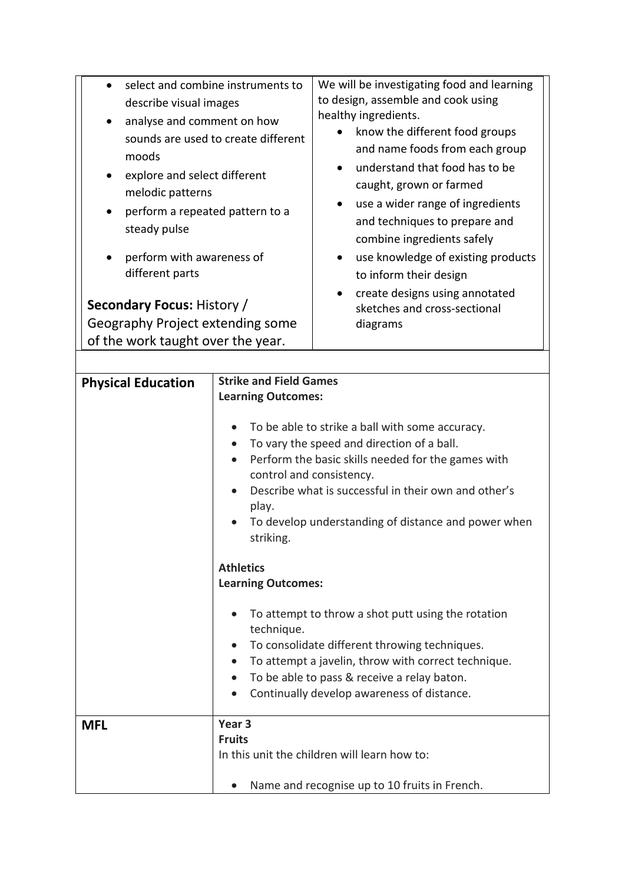| select and combine instruments to<br>$\bullet$<br>describe visual images<br>analyse and comment on how<br>$\bullet$<br>sounds are used to create different<br>moods<br>explore and select different<br>$\bullet$<br>melodic patterns<br>perform a repeated pattern to a<br>$\bullet$<br>steady pulse<br>perform with awareness of<br>different parts<br><b>Secondary Focus: History /</b><br>Geography Project extending some<br>of the work taught over the year. |                                                                                                                                                                                                                                                                                                                                                                                                                                                                                                                                                                                                                                                                                                                           | We will be investigating food and learning<br>to design, assemble and cook using<br>healthy ingredients.<br>know the different food groups<br>and name foods from each group<br>understand that food has to be<br>caught, grown or farmed<br>use a wider range of ingredients<br>and techniques to prepare and<br>combine ingredients safely<br>use knowledge of existing products<br>to inform their design<br>create designs using annotated<br>$\bullet$<br>sketches and cross-sectional<br>diagrams |
|--------------------------------------------------------------------------------------------------------------------------------------------------------------------------------------------------------------------------------------------------------------------------------------------------------------------------------------------------------------------------------------------------------------------------------------------------------------------|---------------------------------------------------------------------------------------------------------------------------------------------------------------------------------------------------------------------------------------------------------------------------------------------------------------------------------------------------------------------------------------------------------------------------------------------------------------------------------------------------------------------------------------------------------------------------------------------------------------------------------------------------------------------------------------------------------------------------|---------------------------------------------------------------------------------------------------------------------------------------------------------------------------------------------------------------------------------------------------------------------------------------------------------------------------------------------------------------------------------------------------------------------------------------------------------------------------------------------------------|
| <b>Physical Education</b>                                                                                                                                                                                                                                                                                                                                                                                                                                          | <b>Strike and Field Games</b><br><b>Learning Outcomes:</b><br>To be able to strike a ball with some accuracy.<br>To vary the speed and direction of a ball.<br>Perform the basic skills needed for the games with<br>control and consistency.<br>Describe what is successful in their own and other's<br>play.<br>To develop understanding of distance and power when<br>striking.<br><b>Athletics</b><br><b>Learning Outcomes:</b><br>To attempt to throw a shot putt using the rotation<br>technique.<br>To consolidate different throwing techniques.<br>To attempt a javelin, throw with correct technique.<br>To be able to pass & receive a relay baton.<br>$\bullet$<br>Continually develop awareness of distance. |                                                                                                                                                                                                                                                                                                                                                                                                                                                                                                         |
| <b>MFL</b>                                                                                                                                                                                                                                                                                                                                                                                                                                                         | Year <sub>3</sub><br><b>Fruits</b>                                                                                                                                                                                                                                                                                                                                                                                                                                                                                                                                                                                                                                                                                        | In this unit the children will learn how to:<br>Name and recognise up to 10 fruits in French.                                                                                                                                                                                                                                                                                                                                                                                                           |